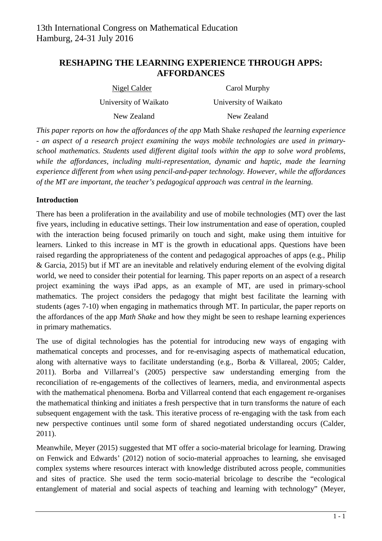## **RESHAPING THE LEARNING EXPERIENCE THROUGH APPS: AFFORDANCES**

| Nigel Calder                        |  |
|-------------------------------------|--|
| University of Waikato               |  |
| $N_{\text{acc}}$ , $7_{\text{cal}}$ |  |

Carol Murphy University of Waikato

New Zealand New Zealand

*This paper reports on how the affordances of the app* Math Shake *reshaped the learning experience - an aspect of a research project examining the ways mobile technologies are used in primaryschool mathematics. Students used different digital tools within the app to solve word problems, while the affordances, including multi-representation, dynamic and haptic, made the learning experience different from when using pencil-and-paper technology. However, while the affordances of the MT are important, the teacher's pedagogical approach was central in the learning.*

## **Introduction**

There has been a proliferation in the availability and use of mobile technologies (MT) over the last five years, including in educative settings. Their low instrumentation and ease of operation, coupled with the interaction being focused primarily on touch and sight, make using them intuitive for learners. Linked to this increase in MT is the growth in educational apps. Questions have been raised regarding the appropriateness of the content and pedagogical approaches of apps (e.g., Philip & Garcia, 2015) but if MT are an inevitable and relatively enduring element of the evolving digital world, we need to consider their potential for learning. This paper reports on an aspect of a research project examining the ways iPad apps, as an example of MT, are used in primary-school mathematics. The project considers the pedagogy that might best facilitate the learning with students (ages 7-10) when engaging in mathematics through MT. In particular, the paper reports on the affordances of the app *Math Shake* and how they might be seen to reshape learning experiences in primary mathematics.

The use of digital technologies has the potential for introducing new ways of engaging with mathematical concepts and processes, and for re-envisaging aspects of mathematical education, along with alternative ways to facilitate understanding (e.g., Borba & Villareal, 2005; Calder, 2011). Borba and Villarreal's (2005) perspective saw understanding emerging from the reconciliation of re-engagements of the collectives of learners, media, and environmental aspects with the mathematical phenomena. Borba and Villarreal contend that each engagement re-organises the mathematical thinking and initiates a fresh perspective that in turn transforms the nature of each subsequent engagement with the task. This iterative process of re-engaging with the task from each new perspective continues until some form of shared negotiated understanding occurs (Calder, 2011).

Meanwhile, Meyer (2015) suggested that MT offer a socio-material bricolage for learning. Drawing on Fenwick and Edwards' (2012) notion of socio-material approaches to learning, she envisaged complex systems where resources interact with knowledge distributed across people, communities and sites of practice. She used the term socio-material bricolage to describe the "ecological entanglement of material and social aspects of teaching and learning with technology" (Meyer,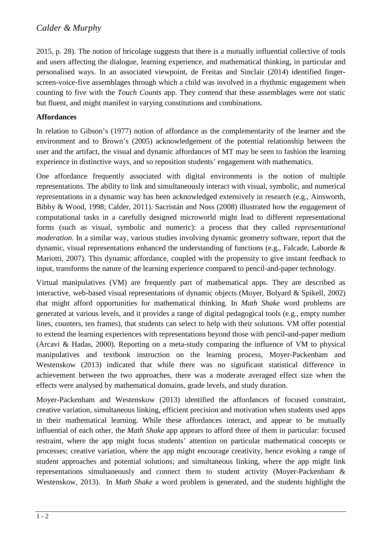# *Calder & Murphy*

2015, p. 28). The notion of bricolage suggests that there is a mutually influential collective of tools and users affecting the dialogue, learning experience, and mathematical thinking, in particular and personalised ways. In an associated viewpoint, de Freitas and Sinclair (2014) identified fingerscreen-voice-five assemblages through which a child was involved in a rhythmic engagement when counting to five with the *Touch Counts* app. They contend that these assemblages were not static but fluent, and might manifest in varying constitutions and combinations.

## **Affordances**

In relation to Gibson's (1977) notion of affordance as the complementarity of the learner and the environment and to Brown's (2005) acknowledgement of the potential relationship between the user and the artifact, the visual and dynamic affordances of MT may be seen to fashion the learning experience in distinctive ways, and so reposition students' engagement with mathematics.

One affordance frequently associated with digital environments is the notion of multiple representations. The ability to link and simultaneously interact with visual, symbolic, and numerical representations in a dynamic way has been acknowledged extensively in research (e.g., Ainsworth, Bibby & Wood, 1998; Calder, 2011). Sacristán and Noss (2008) illustrated how the engagement of computational tasks in a carefully designed microworld might lead to different representational forms (such as visual, symbolic and numeric): a process that they called *representational moderation*. In a similar way, various studies involving dynamic geometry software, report that the dynamic, visual representations enhanced the understanding of functions (e.g., Falcade, Laborde & Mariotti, 2007). This dynamic affordance, coupled with the propensity to give instant feedback to input, transforms the nature of the learning experience compared to pencil-and-paper technology.

Virtual manipulatives (VM) are frequently part of mathematical apps. They are described as interactive, web-based visual representations of dynamic objects (Moyer, Bolyard & Spikell, 2002) that might afford opportunities for mathematical thinking. In *Math Shake* word problems are generated at various levels, and it provides a range of digital pedagogical tools (e.g., empty number lines, counters, ten frames), that students can select to help with their solutions. VM offer potential to extend the learning experiences with representations beyond those with pencil-and-paper medium (Arcavi & Hadas, 2000). Reporting on a meta-study comparing the influence of VM to physical manipulatives and textbook instruction on the learning process, Moyer-Packenham and Westenskow (2013) indicated that while there was no significant statistical difference in achievement between the two approaches, there was a moderate averaged effect size when the effects were analysed by mathematical domains, grade levels, and study duration.

Moyer-Packenham and Westenskow (2013) identified the affordances of focused constraint, creative variation, simultaneous linking, efficient precision and motivation when students used apps in their mathematical learning. While these affordances interact, and appear to be mutually influential of each other, the *Math Shake* app appears to afford three of them in particular: focused restraint, where the app might focus students' attention on particular mathematical concepts or processes; creative variation, where the app might encourage creativity, hence evoking a range of student approaches and potential solutions; and simultaneous linking, where the app might link representations simultaneously and connect them to student activity (Moyer-Packenham & Westenskow, 2013). In *Math Shake* a word problem is generated, and the students highlight the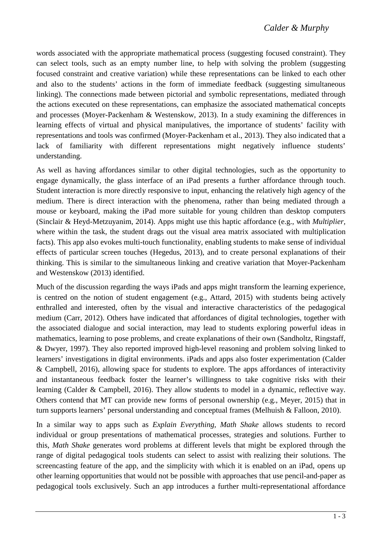words associated with the appropriate mathematical process (suggesting focused constraint). They can select tools, such as an empty number line, to help with solving the problem (suggesting focused constraint and creative variation) while these representations can be linked to each other and also to the students' actions in the form of immediate feedback (suggesting simultaneous linking). The connections made between pictorial and symbolic representations, mediated through the actions executed on these representations, can emphasize the associated mathematical concepts and processes (Moyer-Packenham & Westenskow, 2013). In a study examining the differences in learning effects of virtual and physical manipulatives, the importance of students' facility with representations and tools was confirmed (Moyer-Packenham et al., 2013). They also indicated that a lack of familiarity with different representations might negatively influence students' understanding.

As well as having affordances similar to other digital technologies, such as the opportunity to engage dynamically, the glass interface of an iPad presents a further affordance through touch. Student interaction is more directly responsive to input, enhancing the relatively high agency of the medium. There is direct interaction with the phenomena, rather than being mediated through a mouse or keyboard, making the iPad more suitable for young children than desktop computers (Sinclair & Heyd-Metzuyanim, 2014). Apps might use this haptic affordance (e.g., with *Multiplier,*  where within the task, the student drags out the visual area matrix associated with multiplication facts). This app also evokes multi-touch functionality, enabling students to make sense of individual effects of particular screen touches (Hegedus, 2013), and to create personal explanations of their thinking. This is similar to the simultaneous linking and creative variation that Moyer-Packenham and Westenskow (2013) identified.

Much of the discussion regarding the ways iPads and apps might transform the learning experience, is centred on the notion of student engagement (e.g., Attard, 2015) with students being actively enthralled and interested, often by the visual and interactive characteristics of the pedagogical medium (Carr, 2012). Others have indicated that affordances of digital technologies, together with the associated dialogue and social interaction, may lead to students exploring powerful ideas in mathematics, learning to pose problems, and create explanations of their own (Sandholtz, Ringstaff, & Dwyer, 1997). They also reported improved high-level reasoning and problem solving linked to learners' investigations in digital environments. iPads and apps also foster experimentation (Calder & Campbell, 2016), allowing space for students to explore. The apps affordances of interactivity and instantaneous feedback foster the learner's willingness to take cognitive risks with their learning (Calder & Campbell, 2016). They allow students to model in a dynamic, reflective way. Others contend that MT can provide new forms of personal ownership (e.g., Meyer, 2015) that in turn supports learners' personal understanding and conceptual frames (Melhuish & Falloon, 2010).

In a similar way to apps such as *Explain Everything, Math Shake* allows students to record individual or group presentations of mathematical processes, strategies and solutions. Further to this, *Math Shake* generates word problems at different levels that might be explored through the range of digital pedagogical tools students can select to assist with realizing their solutions. The screencasting feature of the app, and the simplicity with which it is enabled on an iPad, opens up other learning opportunities that would not be possible with approaches that use pencil-and-paper as pedagogical tools exclusively. Such an app introduces a further multi-representational affordance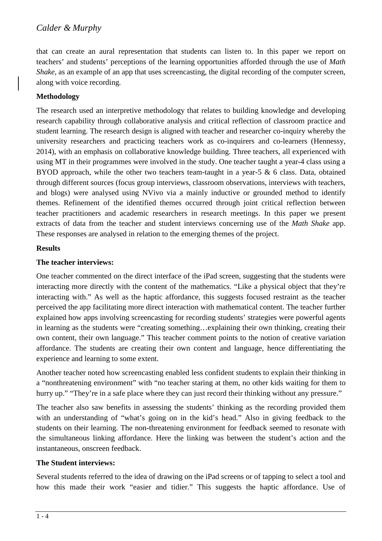that can create an aural representation that students can listen to. In this paper we report on teachers' and students' perceptions of the learning opportunities afforded through the use of *Math Shake*, as an example of an app that uses screencasting, the digital recording of the computer screen, along with voice recording.

## **Methodology**

The research used an interpretive methodology that relates to building knowledge and developing research capability through collaborative analysis and critical reflection of classroom practice and student learning. The research design is aligned with teacher and researcher co-inquiry whereby the university researchers and practicing teachers work as co-inquirers and co-learners (Hennessy, 2014), with an emphasis on collaborative knowledge building. Three teachers, all experienced with using MT in their programmes were involved in the study. One teacher taught a year-4 class using a BYOD approach, while the other two teachers team-taught in a year-5  $\&$  6 class. Data, obtained through different sources (focus group interviews, classroom observations, interviews with teachers, and blogs) were analysed using NVivo via a mainly inductive or grounded method to identify themes. Refinement of the identified themes occurred through joint critical reflection between teacher practitioners and academic researchers in research meetings. In this paper we present extracts of data from the teacher and student interviews concerning use of the *Math Shake* app. These responses are analysed in relation to the emerging themes of the project.

## **Results**

## **The teacher interviews:**

One teacher commented on the direct interface of the iPad screen, suggesting that the students were interacting more directly with the content of the mathematics. "Like a physical object that they're interacting with." As well as the haptic affordance, this suggests focused restraint as the teacher perceived the app facilitating more direct interaction with mathematical content. The teacher further explained how apps involving screencasting for recording students' strategies were powerful agents in learning as the students were "creating something…explaining their own thinking, creating their own content, their own language." This teacher comment points to the notion of creative variation affordance. The students are creating their own content and language, hence differentiating the experience and learning to some extent.

Another teacher noted how screencasting enabled less confident students to explain their thinking in a "nonthreatening environment" with "no teacher staring at them, no other kids waiting for them to hurry up." "They're in a safe place where they can just record their thinking without any pressure."

The teacher also saw benefits in assessing the students' thinking as the recording provided them with an understanding of "what's going on in the kid's head." Also in giving feedback to the students on their learning. The non-threatening environment for feedback seemed to resonate with the simultaneous linking affordance. Here the linking was between the student's action and the instantaneous, onscreen feedback.

#### **The Student interviews:**

Several students referred to the idea of drawing on the iPad screens or of tapping to select a tool and how this made their work "easier and tidier." This suggests the haptic affordance. Use of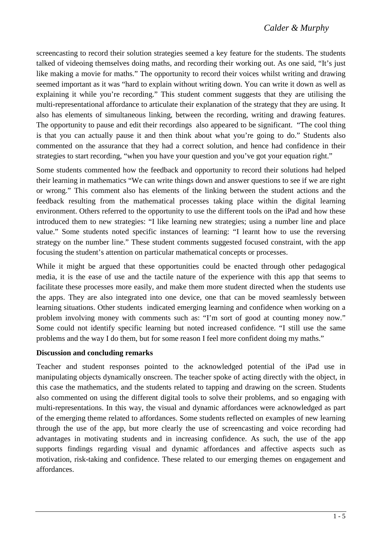screencasting to record their solution strategies seemed a key feature for the students. The students talked of videoing themselves doing maths, and recording their working out. As one said, "It's just like making a movie for maths." The opportunity to record their voices whilst writing and drawing seemed important as it was "hard to explain without writing down. You can write it down as well as explaining it while you're recording." This student comment suggests that they are utilising the multi-representational affordance to articulate their explanation of the strategy that they are using. It also has elements of simultaneous linking, between the recording, writing and drawing features. The opportunity to pause and edit their recordings also appeared to be significant. "The cool thing is that you can actually pause it and then think about what you're going to do." Students also commented on the assurance that they had a correct solution, and hence had confidence in their strategies to start recording, "when you have your question and you've got your equation right."

Some students commented how the feedback and opportunity to record their solutions had helped their learning in mathematics "We can write things down and answer questions to see if we are right or wrong." This comment also has elements of the linking between the student actions and the feedback resulting from the mathematical processes taking place within the digital learning environment. Others referred to the opportunity to use the different tools on the iPad and how these introduced them to new strategies: "I like learning new strategies; using a number line and place value." Some students noted specific instances of learning: "I learnt how to use the reversing strategy on the number line." These student comments suggested focused constraint, with the app focusing the student's attention on particular mathematical concepts or processes.

While it might be argued that these opportunities could be enacted through other pedagogical media, it is the ease of use and the tactile nature of the experience with this app that seems to facilitate these processes more easily, and make them more student directed when the students use the apps. They are also integrated into one device, one that can be moved seamlessly between learning situations. Other students indicated emerging learning and confidence when working on a problem involving money with comments such as: "I'm sort of good at counting money now." Some could not identify specific learning but noted increased confidence. "I still use the same problems and the way I do them, but for some reason I feel more confident doing my maths."

#### **Discussion and concluding remarks**

Teacher and student responses pointed to the acknowledged potential of the iPad use in manipulating objects dynamically onscreen. The teacher spoke of acting directly with the object, in this case the mathematics, and the students related to tapping and drawing on the screen. Students also commented on using the different digital tools to solve their problems, and so engaging with multi-representations. In this way, the visual and dynamic affordances were acknowledged as part of the emerging theme related to affordances. Some students reflected on examples of new learning through the use of the app, but more clearly the use of screencasting and voice recording had advantages in motivating students and in increasing confidence. As such, the use of the app supports findings regarding visual and dynamic affordances and affective aspects such as motivation, risk-taking and confidence. These related to our emerging themes on engagement and affordances.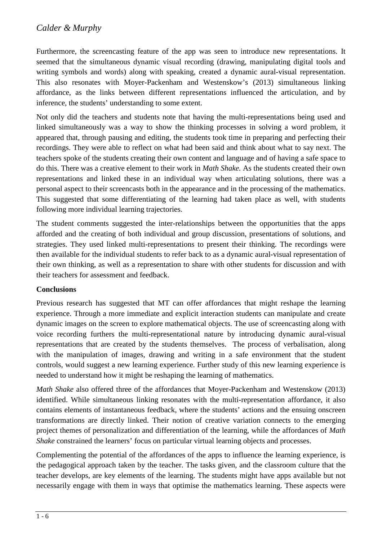# *Calder & Murphy*

Furthermore, the screencasting feature of the app was seen to introduce new representations. It seemed that the simultaneous dynamic visual recording (drawing, manipulating digital tools and writing symbols and words) along with speaking, created a dynamic aural-visual representation. This also resonates with Moyer-Packenham and Westenskow's (2013) simultaneous linking affordance, as the links between different representations influenced the articulation, and by inference, the students' understanding to some extent.

Not only did the teachers and students note that having the multi-representations being used and linked simultaneously was a way to show the thinking processes in solving a word problem, it appeared that, through pausing and editing, the students took time in preparing and perfecting their recordings. They were able to reflect on what had been said and think about what to say next. The teachers spoke of the students creating their own content and language and of having a safe space to do this. There was a creative element to their work in *Math Shake.* As the students created their own representations and linked these in an individual way when articulating solutions, there was a personal aspect to their screencasts both in the appearance and in the processing of the mathematics. This suggested that some differentiating of the learning had taken place as well, with students following more individual learning trajectories.

The student comments suggested the inter-relationships between the opportunities that the apps afforded and the creating of both individual and group discussion, presentations of solutions, and strategies. They used linked multi-representations to present their thinking. The recordings were then available for the individual students to refer back to as a dynamic aural-visual representation of their own thinking, as well as a representation to share with other students for discussion and with their teachers for assessment and feedback.

#### **Conclusions**

Previous research has suggested that MT can offer affordances that might reshape the learning experience. Through a more immediate and explicit interaction students can manipulate and create dynamic images on the screen to explore mathematical objects. The use of screencasting along with voice recording furthers the multi-representational nature by introducing dynamic aural-visual representations that are created by the students themselves. The process of verbalisation, along with the manipulation of images, drawing and writing in a safe environment that the student controls, would suggest a new learning experience. Further study of this new learning experience is needed to understand how it might be reshaping the learning of mathematics.

*Math Shake* also offered three of the affordances that Moyer-Packenham and Westenskow (2013) identified. While simultaneous linking resonates with the multi-representation affordance, it also contains elements of instantaneous feedback, where the students' actions and the ensuing onscreen transformations are directly linked. Their notion of creative variation connects to the emerging project themes of personalization and differentiation of the learning, while the affordances of *Math Shake* constrained the learners' focus on particular virtual learning objects and processes.

Complementing the potential of the affordances of the apps to influence the learning experience, is the pedagogical approach taken by the teacher. The tasks given, and the classroom culture that the teacher develops, are key elements of the learning. The students might have apps available but not necessarily engage with them in ways that optimise the mathematics learning. These aspects were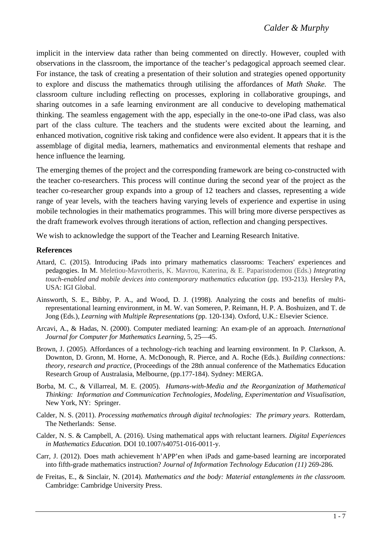implicit in the interview data rather than being commented on directly. However, coupled with observations in the classroom, the importance of the teacher's pedagogical approach seemed clear. For instance, the task of creating a presentation of their solution and strategies opened opportunity to explore and discuss the mathematics through utilising the affordances of *Math Shake.* The classroom culture including reflecting on processes, exploring in collaborative groupings, and sharing outcomes in a safe learning environment are all conducive to developing mathematical thinking. The seamless engagement with the app, especially in the one-to-one iPad class, was also part of the class culture. The teachers and the students were excited about the learning, and enhanced motivation, cognitive risk taking and confidence were also evident. It appears that it is the assemblage of digital media, learners, mathematics and environmental elements that reshape and hence influence the learning.

The emerging themes of the project and the corresponding framework are being co-constructed with the teacher co-researchers. This process will continue during the second year of the project as the teacher co-researcher group expands into a group of 12 teachers and classes, representing a wide range of year levels, with the teachers having varying levels of experience and expertise in using mobile technologies in their mathematics programmes. This will bring more diverse perspectives as the draft framework evolves through iterations of action, reflection and changing perspectives.

We wish to acknowledge the support of the Teacher and Learning Research Initative.

#### **References**

- Attard, C. (2015). Introducing iPads into primary mathematics classrooms: Teachers' experiences and pedagogies. In M. Meletiou-Mavrotheris, K. Mavrou, Katerina, & E. Paparistodemou (Eds.) *Integrating touch-enabled and mobile devices into contemporary mathematics education* (pp. 193-213*).* Hersley PA, USA: IGI Global.
- Ainsworth, S. E., Bibby, P. A., and Wood, D. J. (1998). Analyzing the costs and benefits of multirepresentational learning environment, in M. W. van Someren, P. Reimann, H. P. A. Boshuizen, and T. de Jong (Eds.), *Learning with Multiple Representations* (pp. 120-134). Oxford, U.K.: Elsevier Science.
- Arcavi, A., & Hadas, N. (2000). Computer mediated learning: An exam-ple of an approach. *International Journal for Computer for Mathematics Learning,* 5, 25—45.
- Brown, J. (2005). Affordances of a technology-rich teaching and learning environment. In P. Clarkson, A. Downton, D. Gronn, M. Horne, A. McDonough, R. Pierce, and A. Roche (Eds.). *Building connections: theory, research and practice*, (Proceedings of the 28th annual conference of the Mathematics Education Research Group of Australasia, Melbourne, (pp.177-184). Sydney: MERGA.
- Borba, M. C., & Villarreal, M. E. (2005). *Humans-with-Media and the Reorganization of Mathematical Thinking: Information and Communication Technologies, Modeling, Experimentation and Visualisation,* New York, NY: Springer.
- Calder, N. S. (2011). *Processing mathematics through digital technologies: The primary years.* Rotterdam, The Netherlands: Sense.
- Calder, N. S. & Campbell, A. (2016). Using mathematical apps with reluctant learners. *Digital Experiences in Mathematics Education.* DOI 10.1007/s40751-016-0011-y.
- Carr, J. (2012). Does math achievement h'APP'en when iPads and game-based learning are incorporated into fifth-grade mathematics instruction? *Journal of Information Technology Education (11)* 269-286*.*
- de Freitas, E., & Sinclair, N. (2014). *Mathematics and the body: Material entanglements in the classroom.* Cambridge: Cambridge University Press.